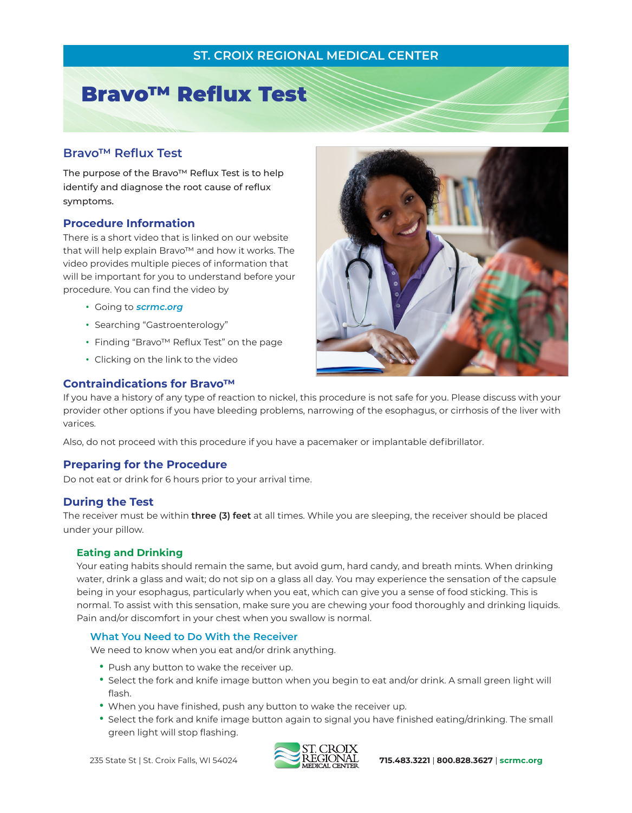## **ST. CROIX REGIONAL MEDICAL CENTER**

# Bravo™ Reflux Test

### **Bravo™ Reflux Test**

The purpose of the Bravo™ Reflux Test is to help identify and diagnose the root cause of reflux symptoms.

### **Procedure Information**

There is a short video that is linked on our website that will help explain Bravo™ and how it works. The video provides multiple pieces of information that will be important for you to understand before your procedure. You can find the video by

- **�** Going to **scrmc.org**
- **�** Searching "Gastroenterology"
- **�** Finding "Bravo™ Reflux Test" on the page
- **�** Clicking on the link to the video



### **Contraindications for Bravo™**

If you have a history of any type of reaction to nickel, this procedure is not safe for you. Please discuss with your provider other options if you have bleeding problems, narrowing of the esophagus, or cirrhosis of the liver with varices.

Also, do not proceed with this procedure if you have a pacemaker or implantable defibrillator.

### **Preparing for the Procedure**

Do not eat or drink for 6 hours prior to your arrival time.

### **During the Test**

The receiver must be within **three (3) feet** at all times. While you are sleeping, the receiver should be placed under your pillow.

### **Eating and Drinking**

Your eating habits should remain the same, but avoid gum, hard candy, and breath mints. When drinking water, drink a glass and wait; do not sip on a glass all day. You may experience the sensation of the capsule being in your esophagus, particularly when you eat, which can give you a sense of food sticking. This is normal. To assist with this sensation, make sure you are chewing your food thoroughly and drinking liquids. Pain and/or discomfort in your chest when you swallow is normal.

### **What You Need to Do With the Receiver**

We need to know when you eat and/or drink anything.

- **�** Push any button to wake the receiver up.
- **�** Select the fork and knife image button when you begin to eat and/or drink. A small green light will flash.
- **�** When you have finished, push any button to wake the receiver up.
- **�** Select the fork and knife image button again to signal you have finished eating/drinking. The small green light will stop flashing.



235 State St | St. Croix Falls, WI 54024 **715.483.3221** | **800.828.3627** | **scrmc.org**